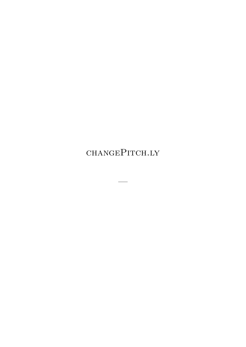changePitch.ly

—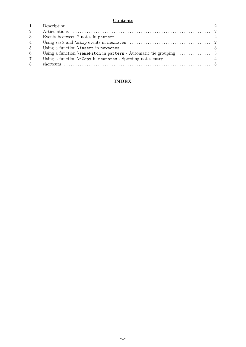### **Contents**

| $1 -$          |                                                                                                   |  |
|----------------|---------------------------------------------------------------------------------------------------|--|
| $2^{\circ}$    |                                                                                                   |  |
| 3 <sup>1</sup> | Events beetween 2 notes in pattern $\dots\dots\dots\dots\dots\dots\dots\dots\dots\dots\dots\dots$ |  |
| $\overline{4}$ |                                                                                                   |  |
| 5 <sup>5</sup> |                                                                                                   |  |
| 6              |                                                                                                   |  |
| $7^{\circ}$    |                                                                                                   |  |
| 8              |                                                                                                   |  |

## **[INDEX](#page-7-0)**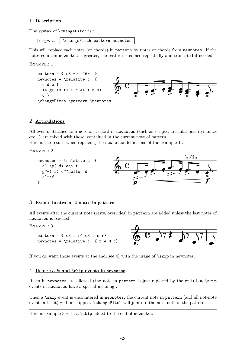## <span id="page-2-0"></span>1 **Description**

The syntax of **\changePitch** is :

 $\triangleright$  *syntax* :  $\backslash$  changePitch pattern newnotes

This will replace each notes (or chords) in pattern by notes or chords from newnotes. If the notes count in newnotes is greater, the pattern is copied repeatedly and truncated if needed.

EXAMPLE<sub>1</sub>



## 2 **Articulations**

All events attached to a note or a chord in newnotes (such as scripts, articulations, dynamics etc...) are mixed with those, contained in the current note of pattern.

Here is the result, when replacing the newnotes definitions of the example 1 :

#### Example 2



### 3 **Events beetween 2 notes in pattern**

All events after the current note (rests, overrides) in pattern are added unless the last notes of newnotes is reached.

EXAMPLE 3

pattern =  $\{ c8 \rceil r4 \rceil c8 \rceil r \rceil r \}$ newnotes =  $\relative c' { f e d c}$ 



If you do want those events at the end, see 4) with the usage of  $\skip$  in newnotes.

#### 4 **Using** *rest***s and \skip events in newnotes**

Rests in newnotes are allowed (the note in pattern is just replaced by the rest) but \skip events in newnotes have a special meaning :

when a \skip event is encountered in newnotes, the current note in pattern (and all not-note events after it) will be skipped. \changePitch will jump to the next note of the pattern.

Here is example 3 with a \skip added to the end of newnotes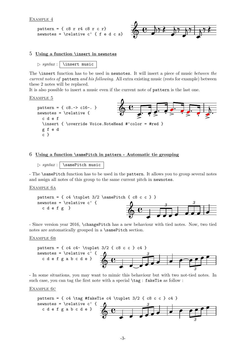```
pattern = \{ c8 \r{r} 4 \r{c} 8 \r{c} \r{r} \}newnotes = \relative c' { f e d c s}
```


### 5 **Using a function \insert in newnotes**

```
\triangleright syntax : \setminus \insert music
```
The \insert function has to be used in newnotes. It will insert a piece of music *between the current notes of* pattern *and his following*. All extra existing music (rests for example) between these 2 notes will be replaced.

It is also possible to insert a music even if the current note of pattern is the last one.

```
Example 5
```


### 6 **Using a function \samePitch in pattern - Automatic tie grouping**

```
\triangleright syntax : \setminus SamePitch music
```
- The \samePitch function has to be used in the pattern. It allows you to group several notes and assign all notes of this group to the same current pitch in newnotes.

### Example 6a



- Since version year 2016, \changePitch has a new behaviour with tied notes. Now, two tied notes are automatically grouped in a **\samePitch** section.

#### EXAMPLE 6B



- In some situations, you may want to mimic this behaviour but with two not-tied notes. In such case, you can tag the first note with a special  $\tag{a} s$  fakeTie as follow :

#### Example 6c

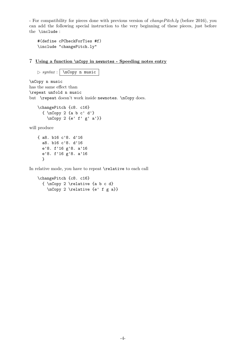<span id="page-4-0"></span>- For compatibility for pieces done with previous version of *changePitch.ly* (before 2016), you can add the following special instruction to the very beginning of these pieces, just before the \include :

```
#(define cPCheckForTies #f)
\include "changePitch.ly"
```
7 **Using a function \nCopy in newnotes - Speeding notes entry**

 $\triangleright$  *syntax* :  $\sqrt{\log p \text{ music}}$ 

\nCopy n music has the same effect than \repeat unfold n music but \repeat doesn't work inside newnotes. \nCopy does.

\changePitch {c8. c16} { \nCopy 2 {a b c' d'} \nCopy 2 {e' f' g' a'}}

will produce

{ a8. b16 c'8. d'16 a8. b16 c'8. d'16 e'8. f'16 g'8. a'16 e'8. f'16 g'8. a'16 }

In relative mode, you have to repeat \relative to each call

```
\changePitch {c8. c16}
  { \nCopy 2 \relative {a b c d}
    \nCopy 2 \relative {e' f g a}}
```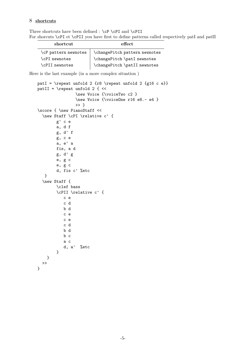## <span id="page-5-0"></span>8 **shortcuts**

Three shortcuts have been defined : \cP \cPI and \cPII For shorcuts \cPI et \cPII you have first to define patterns called respectively patI and patII

| shortcut             | effect                        |
|----------------------|-------------------------------|
| \cP pattern newnotes | \changePitch pattern newnotes |
| \cPI newnotes        | \changePitch \patI newnotes   |
| \cPII newnotes       | \changePitch \patII newnotes  |

Here is the last example (in a more complex situation )

```
patI = \repeat unfold 2 {r8 \repeat unfold 2 {g16 c e}}
patII = \text{update} unfold 2 { <<
                \new Voice {\voiceTwo c2 }
                \new Voice {\voiceOne r16 e8.~ e4 }
                >> }
\score { \new PianoStaff <<
  \new Staff \cPI \relative c' {
        g' c e
        a, d f
        g, d' f
        g, c e
        a, e' a
        fis, a d
        g, d' g
        e, g c
        e, g c
        d, fis c' %etc
   }
  \new Staff {
        \clef bass
        \cPII \relative c' {
           c e
           c d
           b d
           c e
           c e
           c d
           b d
           b c
           a c
           d, a' %etc
        }
   }
 >>
}
```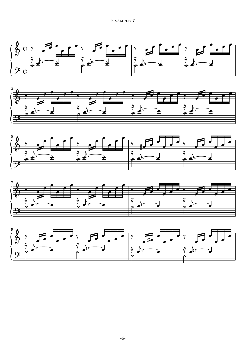## EXAMPLE 7